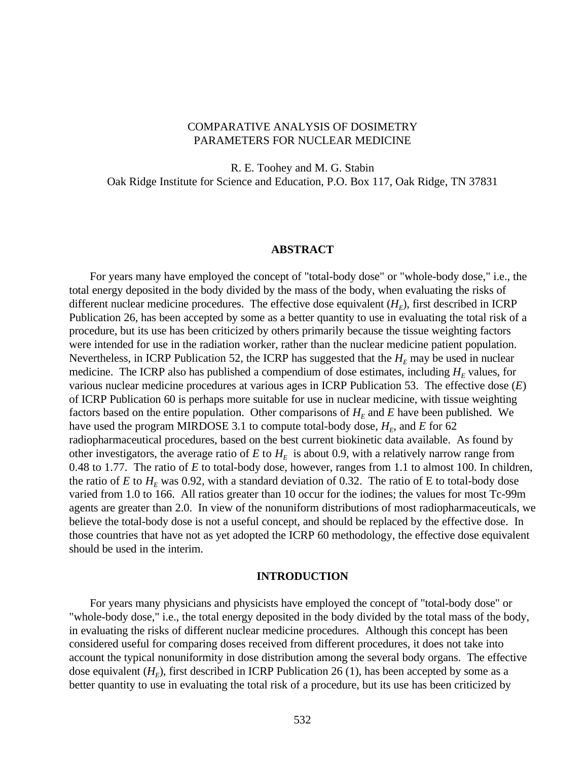# COMPARATIVE ANALYSIS OF DOSIMETRY PARAMETERS FOR NUCLEAR MEDICINE

R. E. Toohey and M. G. Stabin Oak Ridge Institute for Science and Education, P.O. Box 117, Oak Ridge, TN 37831

#### **ABSTRACT**

For years many have employed the concept of "total-body dose" or "whole-body dose," i.e., the total energy deposited in the body divided by the mass of the body, when evaluating the risks of different nuclear medicine procedures. The effective dose equivalent  $(H_E)$ , first described in ICRP Publication 26, has been accepted by some as a better quantity to use in evaluating the total risk of a procedure, but its use has been criticized by others primarily because the tissue weighting factors were intended for use in the radiation worker, rather than the nuclear medicine patient population. Nevertheless, in ICRP Publication 52, the ICRP has suggested that the  $H_E$  may be used in nuclear medicine. The ICRP also has published a compendium of dose estimates, including  $H<sub>E</sub>$  values, for various nuclear medicine procedures at various ages in ICRP Publication 53. The effective dose (*E*) of ICRP Publication 60 is perhaps more suitable for use in nuclear medicine, with tissue weighting factors based on the entire population. Other comparisons of  $H<sub>E</sub>$  and  $E$  have been published. We have used the program MIRDOSE 3.1 to compute total-body dose,  $H<sub>E</sub>$ , and  $E$  for 62 radiopharmaceutical procedures, based on the best current biokinetic data available. As found by other investigators, the average ratio of  $E$  to  $H<sub>E</sub>$  is about 0.9, with a relatively narrow range from 0.48 to 1.77. The ratio of *E* to total-body dose, however, ranges from 1.1 to almost 100. In children, the ratio of *E* to  $H<sub>E</sub>$  was 0.92, with a standard deviation of 0.32. The ratio of E to total-body dose varied from 1.0 to 166. All ratios greater than 10 occur for the iodines; the values for most Tc-99m agents are greater than 2.0. In view of the nonuniform distributions of most radiopharmaceuticals, we believe the total-body dose is not a useful concept, and should be replaced by the effective dose. In those countries that have not as yet adopted the ICRP 60 methodology, the effective dose equivalent should be used in the interim.

## **INTRODUCTION**

For years many physicians and physicists have employed the concept of "total-body dose" or "whole-body dose," i.e., the total energy deposited in the body divided by the total mass of the body, in evaluating the risks of different nuclear medicine procedures. Although this concept has been considered useful for comparing doses received from different procedures, it does not take into account the typical nonuniformity in dose distribution among the several body organs. The effective dose equivalent  $(H_F)$ , first described in ICRP Publication 26 (1), has been accepted by some as a better quantity to use in evaluating the total risk of a procedure, but its use has been criticized by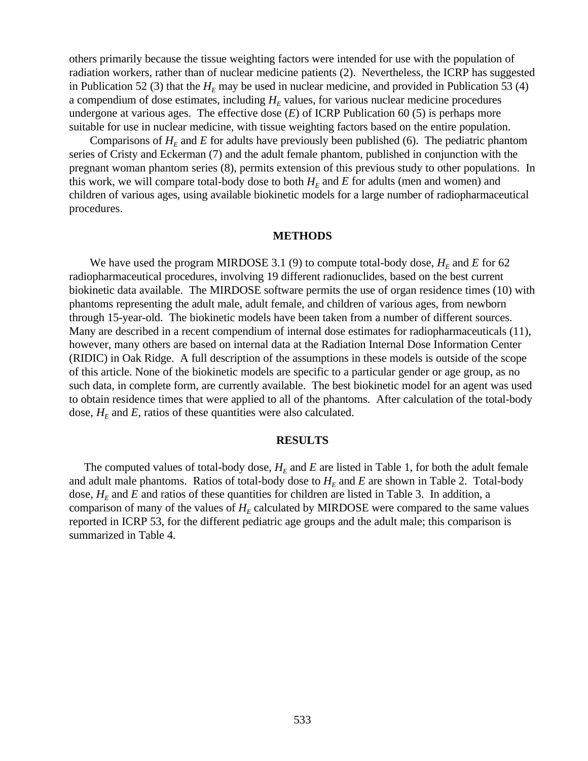others primarily because the tissue weighting factors were intended for use with the population of radiation workers, rather than of nuclear medicine patients (2). Nevertheless, the ICRP has suggested in Publication 52 (3) that the  $H_E$  may be used in nuclear medicine, and provided in Publication 53 (4) a compendium of dose estimates, including  $H<sub>E</sub>$  values, for various nuclear medicine procedures undergone at various ages. The effective dose (*E*) of ICRP Publication 60 (5) is perhaps more suitable for use in nuclear medicine, with tissue weighting factors based on the entire population.

Comparisons of  $H<sub>E</sub>$  and *E* for adults have previously been published (6). The pediatric phantom series of Cristy and Eckerman (7) and the adult female phantom, published in conjunction with the pregnant woman phantom series (8), permits extension of this previous study to other populations. In this work, we will compare total-body dose to both  $H<sub>E</sub>$  and  $E$  for adults (men and women) and children of various ages, using available biokinetic models for a large number of radiopharmaceutical procedures.

#### **METHODS**

We have used the program MIRDOSE 3.1 (9) to compute total-body dose,  $H_E$  and  $E$  for 62 radiopharmaceutical procedures, involving 19 different radionuclides, based on the best current biokinetic data available. The MIRDOSE software permits the use of organ residence times (10) with phantoms representing the adult male, adult female, and children of various ages, from newborn through 15-year-old. The biokinetic models have been taken from a number of different sources. Many are described in a recent compendium of internal dose estimates for radiopharmaceuticals (11), however, many others are based on internal data at the Radiation Internal Dose Information Center (RIDIC) in Oak Ridge. A full description of the assumptions in these models is outside of the scope of this article. None of the biokinetic models are specific to a particular gender or age group, as no such data, in complete form, are currently available. The best biokinetic model for an agent was used to obtain residence times that were applied to all of the phantoms. After calculation of the total-body dose,  $H_E$  and  $E$ , ratios of these quantities were also calculated.

#### **RESULTS**

The computed values of total-body dose,  $H<sub>E</sub>$  and  $E$  are listed in Table 1, for both the adult female and adult male phantoms. Ratios of total-body dose to  $H<sub>E</sub>$  and  $E$  are shown in Table 2. Total-body dose,  $H<sub>E</sub>$  and *E* and ratios of these quantities for children are listed in Table 3. In addition, a comparison of many of the values of  $H<sub>E</sub>$  calculated by MIRDOSE were compared to the same values reported in ICRP 53, for the different pediatric age groups and the adult male; this comparison is summarized in Table 4.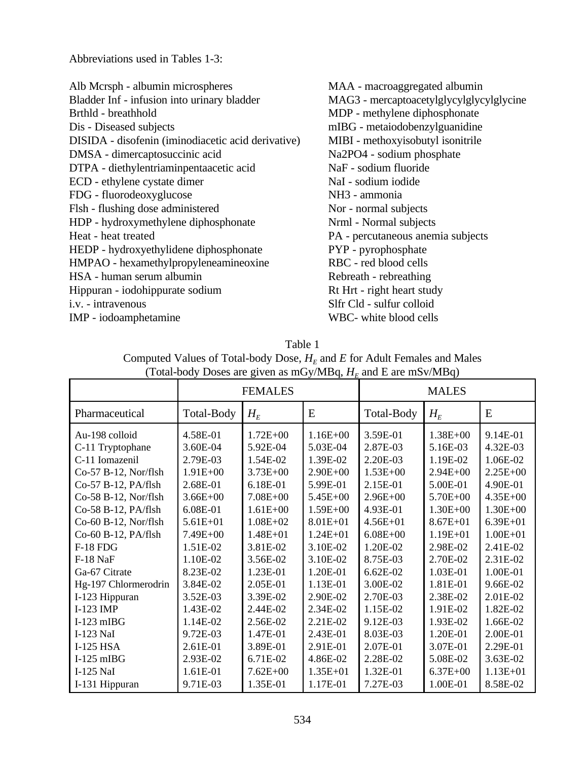Abbreviations used in Tables 1-3:

| Alb Mcrsph - albumin microspheres                  | MAA - macroaggregated albumin            |
|----------------------------------------------------|------------------------------------------|
| Bladder Inf - infusion into urinary bladder        | MAG3 - mercaptoacetylglycylglycylglycine |
| Brthld - breathhold                                | MDP - methylene diphosphonate            |
| Dis - Diseased subjects                            | mIBG - metaiodobenzylguanidine           |
| DISIDA - disofenin (iminodiacetic acid derivative) | MIBI - methoxyisobutyl isonitrile        |
| DMSA - dimercaptosuccinic acid                     | Na2PO4 - sodium phosphate                |
| DTPA - diethylentriaminpentaacetic acid            | NaF - sodium fluoride                    |
| ECD - ethylene cystate dimer                       | NaI - sodium iodide                      |
| FDG - fluorodeoxyglucose                           | NH <sub>3</sub> - ammonia                |
| Flsh - flushing dose administered                  | Nor - normal subjects                    |
| HDP - hydroxymethylene diphosphonate               | Nrml - Normal subjects                   |
| Heat - heat treated                                | PA - percutaneous anemia subjects        |
| HEDP - hydroxyethylidene diphosphonate             | PYP - pyrophosphate                      |
| HMPAO - hexamethylpropyleneamineoxine              | RBC - red blood cells                    |
| HSA - human serum albumin                          | Rebreath - rebreathing                   |
| Hippuran - iodohippurate sodium                    | Rt Hrt - right heart study               |
| <i>i.v.</i> - intravenous                          | Slfr Cld - sulfur colloid                |
| IMP - iodoamphetamine                              | WBC- white blood cells                   |

|                                                                                                                                                                                                                                                                                                                                                                 |                                                                                                                                                                                                                                                  | <b>FEMALES</b>                                                                                                                                                                                                                                           |                                                                                                                                                                                                                                                      |                                                                                                                                                                                                                                                    |                                                                                                                                                                                                                                                          |                                                                                                                                                                                                                                                      |
|-----------------------------------------------------------------------------------------------------------------------------------------------------------------------------------------------------------------------------------------------------------------------------------------------------------------------------------------------------------------|--------------------------------------------------------------------------------------------------------------------------------------------------------------------------------------------------------------------------------------------------|----------------------------------------------------------------------------------------------------------------------------------------------------------------------------------------------------------------------------------------------------------|------------------------------------------------------------------------------------------------------------------------------------------------------------------------------------------------------------------------------------------------------|----------------------------------------------------------------------------------------------------------------------------------------------------------------------------------------------------------------------------------------------------|----------------------------------------------------------------------------------------------------------------------------------------------------------------------------------------------------------------------------------------------------------|------------------------------------------------------------------------------------------------------------------------------------------------------------------------------------------------------------------------------------------------------|
|                                                                                                                                                                                                                                                                                                                                                                 |                                                                                                                                                                                                                                                  |                                                                                                                                                                                                                                                          |                                                                                                                                                                                                                                                      | <b>MALES</b>                                                                                                                                                                                                                                       |                                                                                                                                                                                                                                                          |                                                                                                                                                                                                                                                      |
| Pharmaceutical                                                                                                                                                                                                                                                                                                                                                  | Total-Body                                                                                                                                                                                                                                       | $H_{E}$                                                                                                                                                                                                                                                  | E                                                                                                                                                                                                                                                    | Total-Body                                                                                                                                                                                                                                         | $H_E$                                                                                                                                                                                                                                                    | E                                                                                                                                                                                                                                                    |
| Au-198 colloid<br>C-11 Tryptophane<br>C-11 Iomazenil<br>Co-57 B-12, Nor/flsh<br>Co-57 B-12, PA/flsh<br>Co-58 B-12, Nor/flsh<br>Co-58 B-12, PA/flsh<br>Co-60 B-12, Nor/flsh<br>Co-60 B-12, PA/flsh<br>$F-18$ FDG<br>F-18 NaF<br>Ga-67 Citrate<br>Hg-197 Chlormerodrin<br>I-123 Hippuran<br>$I-123$ IMP<br>$I-123$ mIBG<br>I-123 NaI<br>I-125 HSA<br>$I-125$ mIBG | 4.58E-01<br>3.60E-04<br>2.79E-03<br>$1.91E + 00$<br>2.68E-01<br>$3.66E + 00$<br>6.08E-01<br>$5.61E + 01$<br>$7.49E + 00$<br>1.51E-02<br>1.10E-02<br>8.23E-02<br>3.84E-02<br>3.52E-03<br>1.43E-02<br>1.14E-02<br>9.72E-03<br>2.61E-01<br>2.93E-02 | $1.72E + 00$<br>5.92E-04<br>1.54E-02<br>$3.73E + 00$<br>6.18E-01<br>$7.08E + 00$<br>$1.61E + 00$<br>$1.08E + 02$<br>$1.48E + 01$<br>3.81E-02<br>3.56E-02<br>1.23E-01<br>2.05E-01<br>3.39E-02<br>2.44E-02<br>2.56E-02<br>1.47E-01<br>3.89E-01<br>6.71E-02 | $1.16E + 00$<br>5.03E-04<br>1.39E-02<br>$2.90E + 00$<br>5.99E-01<br>5.45E+00<br>$1.59E + 00$<br>$8.01E + 01$<br>$1.24E + 01$<br>3.10E-02<br>3.10E-02<br>1.20E-01<br>1.13E-01<br>2.90E-02<br>2.34E-02<br>2.21E-02<br>2.43E-01<br>2.91E-01<br>4.86E-02 | 3.59E-01<br>2.87E-03<br>2.20E-03<br>$1.53E + 00$<br>2.15E-01<br>$2.96E + 00$<br>4.93E-01<br>$4.56E + 01$<br>$6.08E + 00$<br>1.20E-02<br>8.75E-03<br>$6.62E-02$<br>3.00E-02<br>2.70E-03<br>1.15E-02<br>9.12E-03<br>8.03E-03<br>2.07E-01<br>2.28E-02 | $1.38E + 00$<br>5.16E-03<br>1.19E-02<br>$2.94E + 00$<br>5.00E-01<br>$5.70E + 00$<br>$1.30E + 00$<br>$8.67E + 01$<br>$1.19E + 01$<br>2.98E-02<br>2.70E-02<br>1.03E-01<br>1.81E-01<br>2.38E-02<br>1.91E-02<br>1.93E-02<br>1.20E-01<br>3.07E-01<br>5.08E-02 | 9.14E-01<br>4.32E-03<br>1.06E-02<br>$2.25E + 00$<br>4.90E-01<br>$4.35E + 00$<br>$1.30E + 00$<br>$6.39E + 01$<br>$1.00E + 01$<br>2.41E-02<br>2.31E-02<br>1.00E-01<br>9.66E-02<br>2.01E-02<br>1.82E-02<br>1.66E-02<br>2.00E-01<br>2.29E-01<br>3.63E-02 |
| I-125 NaI<br>I-131 Hippuran                                                                                                                                                                                                                                                                                                                                     | 1.61E-01<br>9.71E-03                                                                                                                                                                                                                             | $7.62E + 00$<br>1.35E-01                                                                                                                                                                                                                                 | $1.35E + 01$<br>1.17E-01                                                                                                                                                                                                                             | 1.32E-01<br>7.27E-03                                                                                                                                                                                                                               | $6.37E + 00$<br>1.00E-01                                                                                                                                                                                                                                 | $1.13E + 01$<br>8.58E-02                                                                                                                                                                                                                             |

Table 1 Computed Values of Total-body Dose,  $H_E$  and  $E$  for Adult Females and Males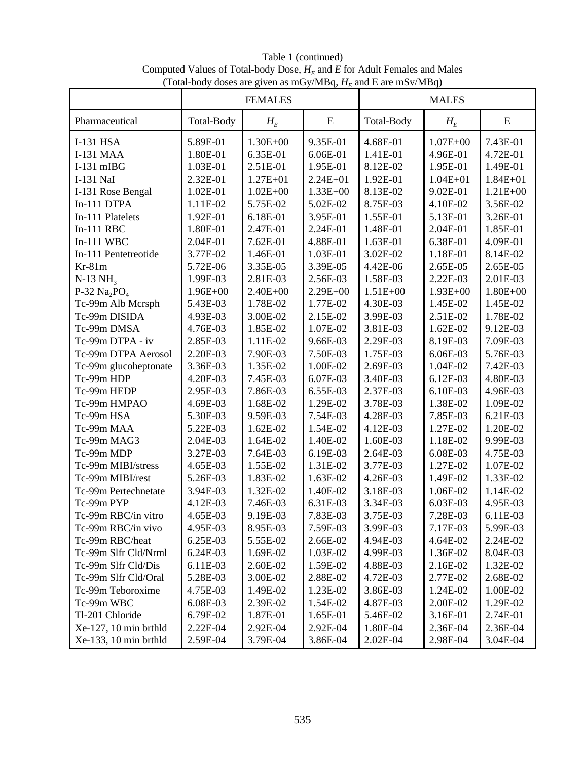Table 1 (continued) Computed Values of Total-body Dose,  $H_E$  and  $E$  for Adult Females and Males (Total-body doses are given as mGy/MBq,  $H_E$  and E are mSv/MBq)

|                       | <b>FEMALES</b> |              |              | <b>MALES</b> |              |              |  |
|-----------------------|----------------|--------------|--------------|--------------|--------------|--------------|--|
| Pharmaceutical        | Total-Body     | $H_E$        | ${\bf E}$    | Total-Body   | $H_E$        | E            |  |
| <b>I-131 HSA</b>      | 5.89E-01       | $1.30E + 00$ | 9.35E-01     | 4.68E-01     | $1.07E + 00$ | 7.43E-01     |  |
| <b>I-131 MAA</b>      | 1.80E-01       | 6.35E-01     | 6.06E-01     | 1.41E-01     | 4.96E-01     | 4.72E-01     |  |
| $I-131$ mIBG          | 1.03E-01       | 2.51E-01     | 1.95E-01     | 8.12E-02     | 1.95E-01     | 1.49E-01     |  |
| I-131 NaI             | 2.32E-01       | $1.27E + 01$ | $2.24E + 01$ | 1.92E-01     | $1.04E + 01$ | $1.84E + 01$ |  |
| I-131 Rose Bengal     | 1.02E-01       | $1.02E + 00$ | $1.33E + 00$ | 8.13E-02     | 9.02E-01     | $1.21E + 00$ |  |
| In-111 DTPA           | 1.11E-02       | 5.75E-02     | 5.02E-02     | 8.75E-03     | 4.10E-02     | 3.56E-02     |  |
| In-111 Platelets      | 1.92E-01       | 6.18E-01     | 3.95E-01     | 1.55E-01     | 5.13E-01     | 3.26E-01     |  |
| $In-111$ RBC          | 1.80E-01       | 2.47E-01     | 2.24E-01     | 1.48E-01     | 2.04E-01     | 1.85E-01     |  |
| $In-111$ WBC          | 2.04E-01       | 7.62E-01     | 4.88E-01     | 1.63E-01     | 6.38E-01     | 4.09E-01     |  |
| In-111 Pentetreotide  | 3.77E-02       | 1.46E-01     | 1.03E-01     | 3.02E-02     | 1.18E-01     | 8.14E-02     |  |
| $Kr-81m$              | 5.72E-06       | 3.35E-05     | 3.39E-05     | 4.42E-06     | 2.65E-05     | 2.65E-05     |  |
| $N-13$ $NH3$          | 1.99E-03       | 2.81E-03     | 2.56E-03     | 1.58E-03     | 2.22E-03     | 2.01E-03     |  |
| P-32 $Na2PO4$         | $1.96E + 00$   | $2.40E + 00$ | $2.29E + 00$ | $1.51E + 00$ | $1.93E + 00$ | $1.80E + 00$ |  |
| Tc-99m Alb Mcrsph     | 5.43E-03       | 1.78E-02     | 1.77E-02     | 4.30E-03     | 1.45E-02     | 1.45E-02     |  |
| Tc-99m DISIDA         | 4.93E-03       | 3.00E-02     | 2.15E-02     | 3.99E-03     | 2.51E-02     | 1.78E-02     |  |
| Tc-99m DMSA           | 4.76E-03       | 1.85E-02     | 1.07E-02     | 3.81E-03     | 1.62E-02     | 9.12E-03     |  |
| Tc-99m DTPA - iv      | 2.85E-03       | 1.11E-02     | 9.66E-03     | 2.29E-03     | 8.19E-03     | 7.09E-03     |  |
| Tc-99m DTPA Aerosol   | 2.20E-03       | 7.90E-03     | 7.50E-03     | 1.75E-03     | 6.06E-03     | 5.76E-03     |  |
| Tc-99m glucoheptonate | 3.36E-03       | 1.35E-02     | 1.00E-02     | 2.69E-03     | 1.04E-02     | 7.42E-03     |  |
| Tc-99m HDP            | 4.20E-03       | 7.45E-03     | 6.07E-03     | 3.40E-03     | 6.12E-03     | 4.80E-03     |  |
| Tc-99m HEDP           | 2.95E-03       | 7.86E-03     | 6.55E-03     | 2.37E-03     | 6.10E-03     | 4.96E-03     |  |
| Tc-99m HMPAO          | 4.69E-03       | 1.68E-02     | 1.29E-02     | 3.78E-03     | 1.38E-02     | 1.09E-02     |  |
| Tc-99m HSA            | 5.30E-03       | 9.59E-03     | 7.54E-03     | 4.28E-03     | 7.85E-03     | 6.21E-03     |  |
| Tc-99m MAA            | 5.22E-03       | 1.62E-02     | 1.54E-02     | 4.12E-03     | 1.27E-02     | 1.20E-02     |  |
| Tc-99m MAG3           | 2.04E-03       | 1.64E-02     | 1.40E-02     | 1.60E-03     | 1.18E-02     | 9.99E-03     |  |
| Tc-99m MDP            | 3.27E-03       | 7.64E-03     | 6.19E-03     | 2.64E-03     | 6.08E-03     | 4.75E-03     |  |
| Tc-99m MIBI/stress    | 4.65E-03       | 1.55E-02     | 1.31E-02     | 3.77E-03     | 1.27E-02     | 1.07E-02     |  |
| Tc-99m MIBI/rest      | 5.26E-03       | 1.83E-02     | 1.63E-02     | 4.26E-03     | 1.49E-02     | 1.33E-02     |  |
| Tc-99m Pertechnetate  | 3.94E-03       | 1.32E-02     | 1.40E-02     | 3.18E-03     | 1.06E-02     | 1.14E-02     |  |
| Tc-99m PYP            | 4.12E-03       | 7.46E-03     | 6.31E-03     | 3.34E-03     | 6.03E-03     | 4.95E-03     |  |
| Tc-99m RBC/in vitro   | 4.65E-03       | 9.19E-03     | 7.83E-03     | 3.75E-03     | 7.28E-03     | 6.11E-03     |  |
| Tc-99m RBC/in vivo    | 4.95E-03       | 8.95E-03     | 7.59E-03     | 3.99E-03     | 7.17E-03     | 5.99E-03     |  |
| Tc-99m RBC/heat       | 6.25E-03       | 5.55E-02     | 2.66E-02     | 4.94E-03     | 4.64E-02     | 2.24E-02     |  |
| Tc-99m Slfr Cld/Nrml  | 6.24E-03       | 1.69E-02     | 1.03E-02     | 4.99E-03     | 1.36E-02     | 8.04E-03     |  |
| Tc-99m Slfr Cld/Dis   | 6.11E-03       | 2.60E-02     | 1.59E-02     | 4.88E-03     | 2.16E-02     | 1.32E-02     |  |
| Tc-99m Slfr Cld/Oral  | 5.28E-03       | 3.00E-02     | 2.88E-02     | 4.72E-03     | 2.77E-02     | 2.68E-02     |  |
| Tc-99m Teboroxime     | 4.75E-03       | 1.49E-02     | 1.23E-02     | 3.86E-03     | 1.24E-02     | 1.00E-02     |  |
| Tc-99m WBC            | 6.08E-03       | 2.39E-02     | 1.54E-02     | 4.87E-03     | 2.00E-02     | 1.29E-02     |  |
| Tl-201 Chloride       | 6.79E-02       | 1.87E-01     | 1.65E-01     | 5.46E-02     | 3.16E-01     | 2.74E-01     |  |
| Xe-127, 10 min brthld | 2.22E-04       | 2.92E-04     | 2.92E-04     | 1.80E-04     | 2.36E-04     | 2.36E-04     |  |
| Xe-133, 10 min brthld | 2.59E-04       | 3.79E-04     | 3.86E-04     | 2.02E-04     | 2.98E-04     | 3.04E-04     |  |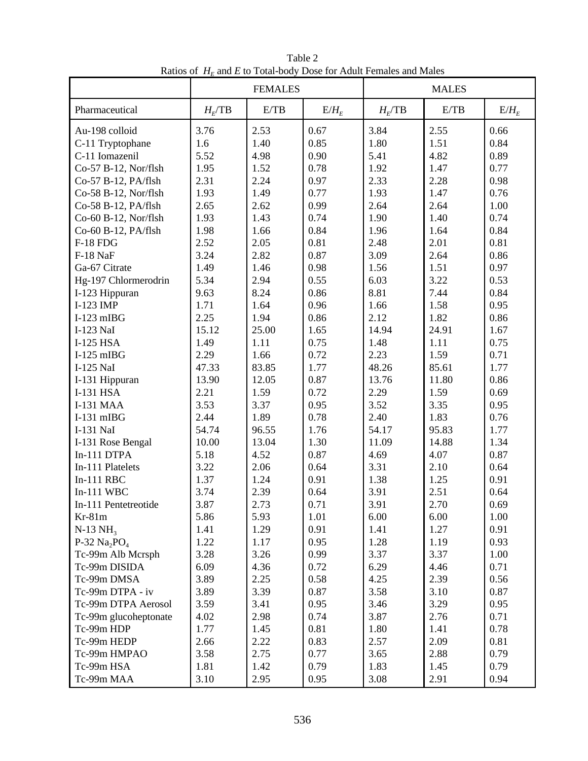| Natives of $H_E$ and $E$ to Total body Dose for Tradit Females and Males | <b>FEMALES</b> |       |         | <b>MALES</b> |       |         |  |
|--------------------------------------------------------------------------|----------------|-------|---------|--------------|-------|---------|--|
| Pharmaceutical                                                           | $H_F$ TB       | E/TB  | $E/H_E$ | $H_E$ /TB    | E/TB  | $E/H_E$ |  |
| Au-198 colloid                                                           | 3.76           | 2.53  | 0.67    | 3.84         | 2.55  | 0.66    |  |
| C-11 Tryptophane                                                         | 1.6            | 1.40  | 0.85    | 1.80         | 1.51  | 0.84    |  |
| C-11 Iomazenil                                                           | 5.52           | 4.98  | 0.90    | 5.41         | 4.82  | 0.89    |  |
| Co-57 B-12, Nor/flsh                                                     | 1.95           | 1.52  | 0.78    | 1.92         | 1.47  | 0.77    |  |
| Co-57 B-12, PA/flsh                                                      | 2.31           | 2.24  | 0.97    | 2.33         | 2.28  | 0.98    |  |
| Co-58 B-12, Nor/flsh                                                     | 1.93           | 1.49  | 0.77    | 1.93         | 1.47  | 0.76    |  |
| Co-58 B-12, PA/flsh                                                      | 2.65           | 2.62  | 0.99    | 2.64         | 2.64  | 1.00    |  |
| Co-60 B-12, Nor/flsh                                                     | 1.93           | 1.43  | 0.74    | 1.90         | 1.40  | 0.74    |  |
| Co-60 B-12, PA/flsh                                                      | 1.98           | 1.66  | 0.84    | 1.96         | 1.64  | 0.84    |  |
| <b>F-18 FDG</b>                                                          | 2.52           | 2.05  | 0.81    | 2.48         | 2.01  | 0.81    |  |
| F-18 NaF                                                                 | 3.24           | 2.82  | 0.87    | 3.09         | 2.64  | 0.86    |  |
| Ga-67 Citrate                                                            | 1.49           | 1.46  | 0.98    | 1.56         | 1.51  | 0.97    |  |
| Hg-197 Chlormerodrin                                                     | 5.34           | 2.94  | 0.55    | 6.03         | 3.22  | 0.53    |  |
| I-123 Hippuran                                                           | 9.63           | 8.24  | 0.86    | 8.81         | 7.44  | 0.84    |  |
| I-123 IMP                                                                | 1.71           | 1.64  | 0.96    | 1.66         | 1.58  | 0.95    |  |
| $I-123$ mIBG                                                             | 2.25           | 1.94  | 0.86    | 2.12         | 1.82  | 0.86    |  |
| I-123 NaI                                                                | 15.12          | 25.00 | 1.65    | 14.94        | 24.91 | 1.67    |  |
| I-125 HSA                                                                | 1.49           | 1.11  | 0.75    | 1.48         | 1.11  | 0.75    |  |
| $I-125$ mIBG                                                             | 2.29           | 1.66  | 0.72    | 2.23         | 1.59  | 0.71    |  |
| I-125 NaI                                                                | 47.33          | 83.85 | 1.77    | 48.26        | 85.61 | 1.77    |  |
| I-131 Hippuran                                                           | 13.90          | 12.05 | 0.87    | 13.76        | 11.80 | 0.86    |  |
| I-131 HSA                                                                | 2.21           | 1.59  | 0.72    | 2.29         | 1.59  | 0.69    |  |
| <b>I-131 MAA</b>                                                         | 3.53           | 3.37  | 0.95    | 3.52         | 3.35  | 0.95    |  |
| $I-131$ mIBG                                                             | 2.44           | 1.89  | 0.78    | 2.40         | 1.83  | 0.76    |  |
| I-131 NaI                                                                | 54.74          | 96.55 | 1.76    | 54.17        | 95.83 | 1.77    |  |
| I-131 Rose Bengal                                                        | 10.00          | 13.04 | 1.30    | 11.09        | 14.88 | 1.34    |  |
| In-111 DTPA                                                              | 5.18           | 4.52  | 0.87    | 4.69         | 4.07  | 0.87    |  |
| In-111 Platelets                                                         | 3.22           | 2.06  | 0.64    | 3.31         | 2.10  | 0.64    |  |
| $In-111$ RBC                                                             | 1.37           | 1.24  | 0.91    | 1.38         | 1.25  | 0.91    |  |
| $In-111$ WBC                                                             | 3.74           | 2.39  | 0.64    | 3.91         | 2.51  | 0.64    |  |
| In-111 Pentetreotide                                                     | 3.87           | 2.73  | 0.71    | 3.91         | 2.70  | 0.69    |  |
| $Kr-81m$                                                                 | 5.86           | 5.93  | 1.01    | 6.00         | 6.00  | 1.00    |  |
| $N-13 \text{ NH}_3$                                                      | 1.41           | 1.29  | 0.91    | 1.41         | 1.27  | 0.91    |  |
| P-32 $Na_2PO4$                                                           | 1.22           | 1.17  | 0.95    | 1.28         | 1.19  | 0.93    |  |
| Tc-99m Alb Mcrsph                                                        | 3.28           | 3.26  | 0.99    | 3.37         | 3.37  | 1.00    |  |
| Tc-99m DISIDA                                                            | 6.09           | 4.36  | 0.72    | 6.29         | 4.46  | 0.71    |  |
| Tc-99m DMSA                                                              | 3.89           | 2.25  | 0.58    | 4.25         | 2.39  | 0.56    |  |
| Tc-99m DTPA - iv                                                         | 3.89           | 3.39  | 0.87    | 3.58         | 3.10  | 0.87    |  |
| Tc-99m DTPA Aerosol                                                      | 3.59           | 3.41  | 0.95    | 3.46         | 3.29  | 0.95    |  |
| Tc-99m glucoheptonate                                                    | 4.02           | 2.98  | 0.74    | 3.87         | 2.76  | 0.71    |  |
| Tc-99m HDP                                                               | 1.77           | 1.45  | 0.81    | 1.80         | 1.41  | 0.78    |  |
| Tc-99m HEDP                                                              | 2.66           | 2.22  | 0.83    | 2.57         | 2.09  | 0.81    |  |
| Tc-99m HMPAO                                                             | 3.58           | 2.75  | 0.77    | 3.65         | 2.88  | 0.79    |  |
| Tc-99m HSA                                                               | 1.81           | 1.42  | 0.79    | 1.83         | 1.45  | 0.79    |  |
| Tc-99m MAA                                                               | 3.10           | 2.95  | 0.95    | 3.08         | 2.91  | 0.94    |  |

Table 2 Ratios of  $H<sub>F</sub>$  and *E* to Total-body Dose for Adult Females and Males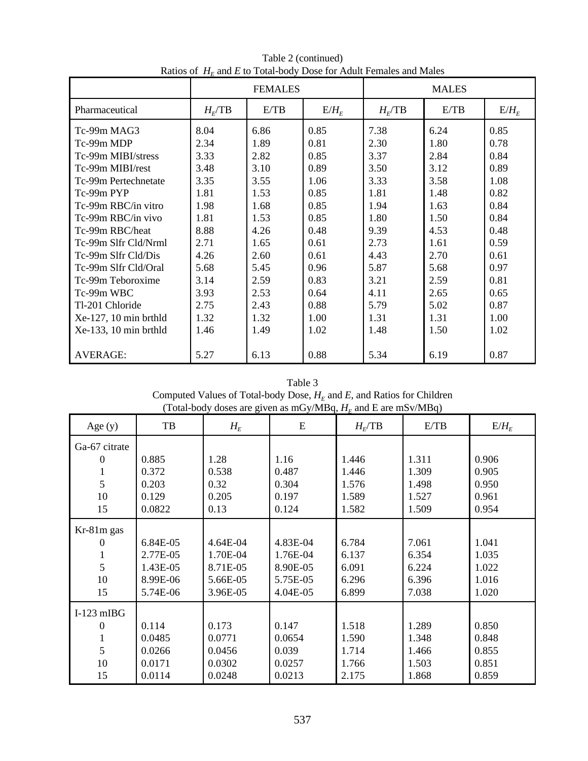|                       | <b>FEMALES</b> |      |         | <b>MALES</b> |      |         |  |
|-----------------------|----------------|------|---------|--------------|------|---------|--|
| Pharmaceutical        | $H_F$ TB       | E/TB | $E/H_E$ | $H_F$ TB     | E/TB | $E/H_E$ |  |
| Tc-99m MAG3           | 8.04           | 6.86 | 0.85    | 7.38         | 6.24 | 0.85    |  |
| Tc-99m MDP            | 2.34           | 1.89 | 0.81    | 2.30         | 1.80 | 0.78    |  |
| Tc-99m MIBI/stress    | 3.33           | 2.82 | 0.85    | 3.37         | 2.84 | 0.84    |  |
| Tc-99m MIBI/rest      | 3.48           | 3.10 | 0.89    | 3.50         | 3.12 | 0.89    |  |
| Tc-99m Pertechnetate  | 3.35           | 3.55 | 1.06    | 3.33         | 3.58 | 1.08    |  |
| Tc-99m PYP            | 1.81           | 1.53 | 0.85    | 1.81         | 1.48 | 0.82    |  |
| Tc-99m RBC/in vitro   | 1.98           | 1.68 | 0.85    | 1.94         | 1.63 | 0.84    |  |
| Tc-99m RBC/in vivo    | 1.81           | 1.53 | 0.85    | 1.80         | 1.50 | 0.84    |  |
| Tc-99m RBC/heat       | 8.88           | 4.26 | 0.48    | 9.39         | 4.53 | 0.48    |  |
| Tc-99m Slfr Cld/Nrml  | 2.71           | 1.65 | 0.61    | 2.73         | 1.61 | 0.59    |  |
| Tc-99m Slfr Cld/Dis   | 4.26           | 2.60 | 0.61    | 4.43         | 2.70 | 0.61    |  |
| Tc-99m Slfr Cld/Oral  | 5.68           | 5.45 | 0.96    | 5.87         | 5.68 | 0.97    |  |
| Tc-99m Teboroxime     | 3.14           | 2.59 | 0.83    | 3.21         | 2.59 | 0.81    |  |
| Tc-99m WBC            | 3.93           | 2.53 | 0.64    | 4.11         | 2.65 | 0.65    |  |
| Tl-201 Chloride       | 2.75           | 2.43 | 0.88    | 5.79         | 5.02 | 0.87    |  |
| Xe-127, 10 min brthld | 1.32           | 1.32 | 1.00    | 1.31         | 1.31 | 1.00    |  |
| Xe-133, 10 min brthld | 1.46           | 1.49 | 1.02    | 1.48         | 1.50 | 1.02    |  |
|                       |                |      |         |              |      |         |  |
| <b>AVERAGE:</b>       | 5.27           | 6.13 | 0.88    | 5.34         | 6.19 | 0.87    |  |

Table 2 (continued) Ratios of  $H_F$  and *E* to Total-body Dose for Adult Females and Males

| Table 3                                                                 |
|-------------------------------------------------------------------------|
| Computed Values of Total-body Dose, $HF$ and E, and Ratios for Children |
| (Total-body doses are given as mGy/MBq, $HF$ and E are mSv/MBq)         |

| Age $(y)$     | TB       | $\circ$<br>$H_E$ | E        | $H_F$ TB | E/TB  | $E/H_E$ |
|---------------|----------|------------------|----------|----------|-------|---------|
| Ga-67 citrate |          |                  |          |          |       |         |
| 0             | 0.885    | 1.28             | 1.16     | 1.446    | 1.311 | 0.906   |
|               | 0.372    | 0.538            | 0.487    | 1.446    | 1.309 | 0.905   |
| 5             | 0.203    | 0.32             | 0.304    | 1.576    | 1.498 | 0.950   |
| 10            | 0.129    | 0.205            | 0.197    | 1.589    | 1.527 | 0.961   |
| 15            | 0.0822   | 0.13             | 0.124    | 1.582    | 1.509 | 0.954   |
| Kr-81m gas    |          |                  |          |          |       |         |
| $\theta$      | 6.84E-05 | 4.64E-04         | 4.83E-04 | 6.784    | 7.061 | 1.041   |
|               | 2.77E-05 | 1.70E-04         | 1.76E-04 | 6.137    | 6.354 | 1.035   |
| 5             | 1.43E-05 | 8.71E-05         | 8.90E-05 | 6.091    | 6.224 | 1.022   |
| 10            | 8.99E-06 | 5.66E-05         | 5.75E-05 | 6.296    | 6.396 | 1.016   |
| 15            | 5.74E-06 | 3.96E-05         | 4.04E-05 | 6.899    | 7.038 | 1.020   |
| $I-123$ mIBG  |          |                  |          |          |       |         |
| 0             | 0.114    | 0.173            | 0.147    | 1.518    | 1.289 | 0.850   |
|               | 0.0485   | 0.0771           | 0.0654   | 1.590    | 1.348 | 0.848   |
| 5             | 0.0266   | 0.0456           | 0.039    | 1.714    | 1.466 | 0.855   |
| 10            | 0.0171   | 0.0302           | 0.0257   | 1.766    | 1.503 | 0.851   |
| 15            | 0.0114   | 0.0248           | 0.0213   | 2.175    | 1.868 | 0.859   |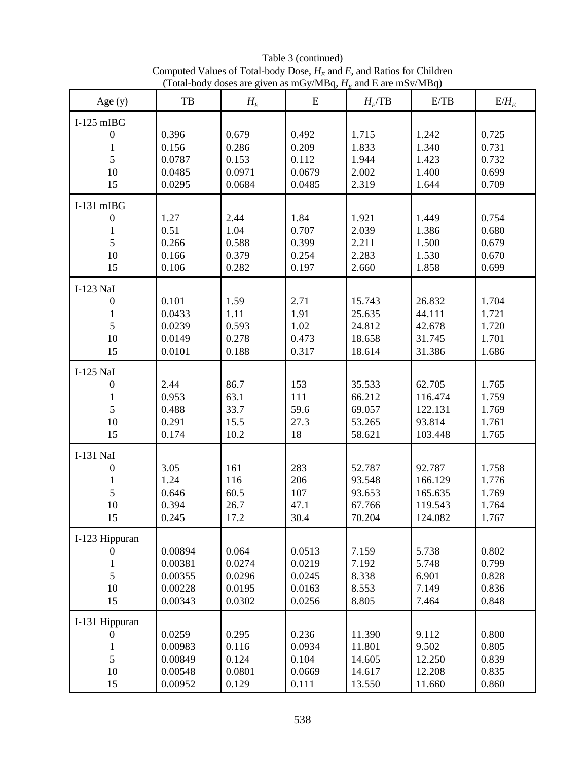| Age $(y)$                                              | TB                                                  | $H_E$                                         | ${\bf E}$                                      | $H_F$ TB                                       | E/TB                                               | $E/H_E$                                   |
|--------------------------------------------------------|-----------------------------------------------------|-----------------------------------------------|------------------------------------------------|------------------------------------------------|----------------------------------------------------|-------------------------------------------|
| $I-125$ mIBG<br>$\boldsymbol{0}$<br>1<br>5<br>10<br>15 | 0.396<br>0.156<br>0.0787<br>0.0485<br>0.0295        | 0.679<br>0.286<br>0.153<br>0.0971<br>0.0684   | 0.492<br>0.209<br>0.112<br>0.0679<br>0.0485    | 1.715<br>1.833<br>1.944<br>2.002<br>2.319      | 1.242<br>1.340<br>1.423<br>1.400<br>1.644          | 0.725<br>0.731<br>0.732<br>0.699<br>0.709 |
| $I-131$ mIBG<br>$\overline{0}$<br>1<br>5<br>10<br>15   | 1.27<br>0.51<br>0.266<br>0.166<br>0.106             | 2.44<br>1.04<br>0.588<br>0.379<br>0.282       | 1.84<br>0.707<br>0.399<br>0.254<br>0.197       | 1.921<br>2.039<br>2.211<br>2.283<br>2.660      | 1.449<br>1.386<br>1.500<br>1.530<br>1.858          | 0.754<br>0.680<br>0.679<br>0.670<br>0.699 |
| I-123 NaI<br>$\boldsymbol{0}$<br>1<br>5<br>10<br>15    | 0.101<br>0.0433<br>0.0239<br>0.0149<br>0.0101       | 1.59<br>1.11<br>0.593<br>0.278<br>0.188       | 2.71<br>1.91<br>1.02<br>0.473<br>0.317         | 15.743<br>25.635<br>24.812<br>18.658<br>18.614 | 26.832<br>44.111<br>42.678<br>31.745<br>31.386     | 1.704<br>1.721<br>1.720<br>1.701<br>1.686 |
| I-125 NaI<br>$\mathbf{0}$<br>1<br>5<br>10<br>15        | 2.44<br>0.953<br>0.488<br>0.291<br>0.174            | 86.7<br>63.1<br>33.7<br>15.5<br>10.2          | 153<br>111<br>59.6<br>27.3<br>18               | 35.533<br>66.212<br>69.057<br>53.265<br>58.621 | 62.705<br>116.474<br>122.131<br>93.814<br>103.448  | 1.765<br>1.759<br>1.769<br>1.761<br>1.765 |
| I-131 NaI<br>$\boldsymbol{0}$<br>1<br>5<br>10<br>15    | 3.05<br>1.24<br>0.646<br>0.394<br>0.245             | 161<br>116<br>60.5<br>26.7<br>17.2            | 283<br>206<br>107<br>47.1<br>30.4              | 52.787<br>93.548<br>93.653<br>67.766<br>70.204 | 92.787<br>166.129<br>165.635<br>119.543<br>124.082 | 1.758<br>1.776<br>1.769<br>1.764<br>1.767 |
| I-123 Hippuran<br>$\theta$<br>5<br>10<br>15            | 0.00894<br>0.00381<br>0.00355<br>0.00228<br>0.00343 | 0.064<br>0.0274<br>0.0296<br>0.0195<br>0.0302 | 0.0513<br>0.0219<br>0.0245<br>0.0163<br>0.0256 | 7.159<br>7.192<br>8.338<br>8.553<br>8.805      | 5.738<br>5.748<br>6.901<br>7.149<br>7.464          | 0.802<br>0.799<br>0.828<br>0.836<br>0.848 |
| I-131 Hippuran<br>$\overline{0}$<br>1<br>5<br>10<br>15 | 0.0259<br>0.00983<br>0.00849<br>0.00548<br>0.00952  | 0.295<br>0.116<br>0.124<br>0.0801<br>0.129    | 0.236<br>0.0934<br>0.104<br>0.0669<br>0.111    | 11.390<br>11.801<br>14.605<br>14.617<br>13.550 | 9.112<br>9.502<br>12.250<br>12.208<br>11.660       | 0.800<br>0.805<br>0.839<br>0.835<br>0.860 |

Table 3 (continued) Computed Values of Total-body Dose,  $H_E$  and *E*, and Ratios for Children (Total-body doses are given as mGy/MBq,  $H_E$  and E are mSv/MBq)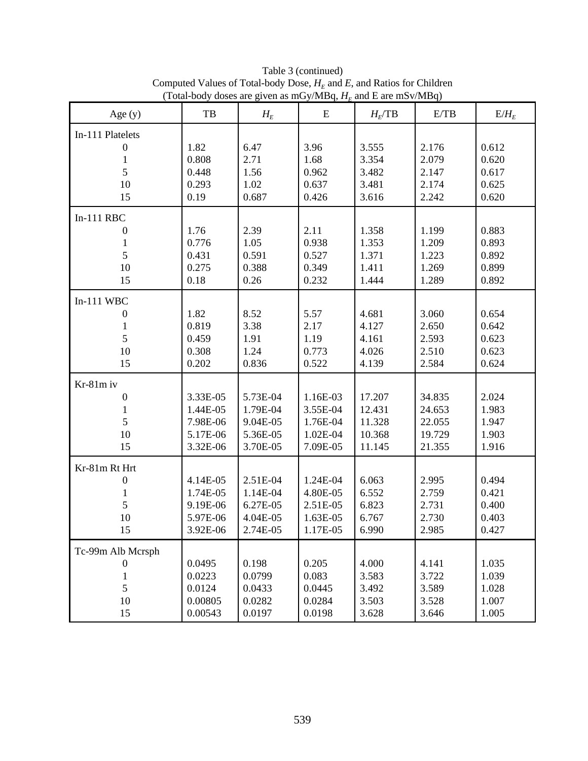| Age $(y)$         | TB       | $H_E$    | E        | $H_E$ TB | E/TB   | $E/H_E$ |
|-------------------|----------|----------|----------|----------|--------|---------|
| In-111 Platelets  |          |          |          |          |        |         |
| 0                 | 1.82     | 6.47     | 3.96     | 3.555    | 2.176  | 0.612   |
| 1                 | 0.808    | 2.71     | 1.68     | 3.354    | 2.079  | 0.620   |
| 5                 | 0.448    | 1.56     | 0.962    | 3.482    | 2.147  | 0.617   |
| 10                | 0.293    | 1.02     | 0.637    | 3.481    | 2.174  | 0.625   |
| 15                | 0.19     | 0.687    | 0.426    | 3.616    | 2.242  | 0.620   |
| $In-111$ RBC      |          |          |          |          |        |         |
| $\boldsymbol{0}$  | 1.76     | 2.39     | 2.11     | 1.358    | 1.199  | 0.883   |
| $\mathbf{1}$      | 0.776    | 1.05     | 0.938    | 1.353    | 1.209  | 0.893   |
| 5                 | 0.431    | 0.591    | 0.527    | 1.371    | 1.223  | 0.892   |
| 10                | 0.275    | 0.388    | 0.349    | 1.411    | 1.269  | 0.899   |
| 15                | 0.18     | 0.26     | 0.232    | 1.444    | 1.289  | 0.892   |
| $In-111$ WBC      |          |          |          |          |        |         |
| $\boldsymbol{0}$  | 1.82     | 8.52     | 5.57     | 4.681    | 3.060  | 0.654   |
| 1                 | 0.819    | 3.38     | 2.17     | 4.127    | 2.650  | 0.642   |
| 5                 | 0.459    | 1.91     | 1.19     | 4.161    | 2.593  | 0.623   |
| 10                | 0.308    | 1.24     | 0.773    | 4.026    | 2.510  | 0.623   |
| 15                | 0.202    | 0.836    | 0.522    | 4.139    | 2.584  | 0.624   |
| Kr-81m iv         |          |          |          |          |        |         |
| $\boldsymbol{0}$  | 3.33E-05 | 5.73E-04 | 1.16E-03 | 17.207   | 34.835 | 2.024   |
| 1                 | 1.44E-05 | 1.79E-04 | 3.55E-04 | 12.431   | 24.653 | 1.983   |
| 5                 | 7.98E-06 | 9.04E-05 | 1.76E-04 | 11.328   | 22.055 | 1.947   |
| 10                | 5.17E-06 | 5.36E-05 | 1.02E-04 | 10.368   | 19.729 | 1.903   |
| 15                | 3.32E-06 | 3.70E-05 | 7.09E-05 | 11.145   | 21.355 | 1.916   |
| Kr-81m Rt Hrt     |          |          |          |          |        |         |
| 0                 | 4.14E-05 | 2.51E-04 | 1.24E-04 | 6.063    | 2.995  | 0.494   |
| 1                 | 1.74E-05 | 1.14E-04 | 4.80E-05 | 6.552    | 2.759  | 0.421   |
| 5                 | 9.19E-06 | 6.27E-05 | 2.51E-05 | 6.823    | 2.731  | 0.400   |
| 10                | 5.97E-06 | 4.04E-05 | 1.63E-05 | 6.767    | 2.730  | 0.403   |
| 15                | 3.92E-06 | 2.74E-05 | 1.17E-05 | 6.990    | 2.985  | 0.427   |
| Tc-99m Alb Mcrsph |          |          |          |          |        |         |
| 0                 | 0.0495   | 0.198    | 0.205    | 4.000    | 4.141  | 1.035   |
| 1                 | 0.0223   | 0.0799   | 0.083    | 3.583    | 3.722  | 1.039   |
| 5                 | 0.0124   | 0.0433   | 0.0445   | 3.492    | 3.589  | 1.028   |
| 10                | 0.00805  | 0.0282   | 0.0284   | 3.503    | 3.528  | 1.007   |
| 15                | 0.00543  | 0.0197   | 0.0198   | 3.628    | 3.646  | 1.005   |

Table 3 (continued) Computed Values of Total-body Dose,  $H_E$  and *E*, and Ratios for Children (Total-body doses are given as mGy/MBq,  $H_E$  and E are mSv/MBq)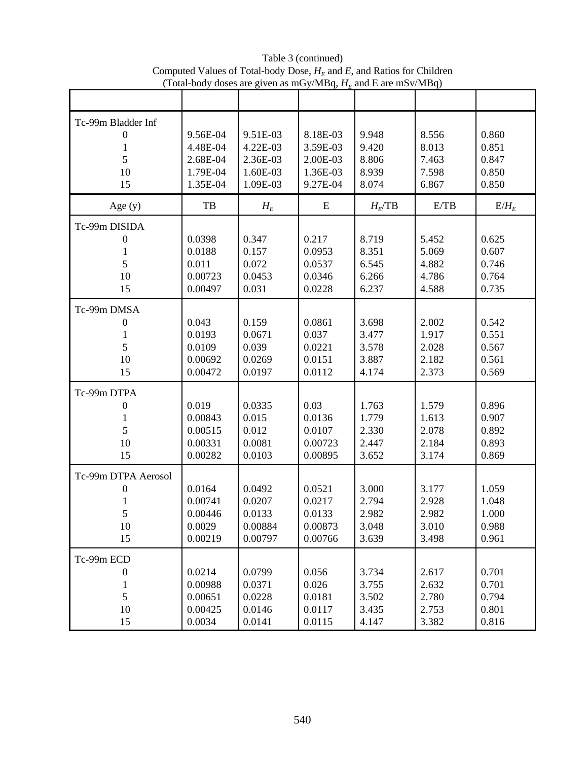|                                                          | 10.001                                                   |                                                          |                                                          |                                           |                                           |                                           |
|----------------------------------------------------------|----------------------------------------------------------|----------------------------------------------------------|----------------------------------------------------------|-------------------------------------------|-------------------------------------------|-------------------------------------------|
|                                                          |                                                          |                                                          |                                                          |                                           |                                           |                                           |
| Tc-99m Bladder Inf<br>$\boldsymbol{0}$<br>5<br>10<br>15  | 9.56E-04<br>4.48E-04<br>2.68E-04<br>1.79E-04<br>1.35E-04 | 9.51E-03<br>4.22E-03<br>2.36E-03<br>1.60E-03<br>1.09E-03 | 8.18E-03<br>3.59E-03<br>2.00E-03<br>1.36E-03<br>9.27E-04 | 9.948<br>9.420<br>8.806<br>8.939<br>8.074 | 8.556<br>8.013<br>7.463<br>7.598<br>6.867 | 0.860<br>0.851<br>0.847<br>0.850<br>0.850 |
| Age $(y)$                                                | TB                                                       | $H_E$                                                    | ${\bf E}$                                                | $H_F$ TB                                  | E/TB                                      | $E/H_E$                                   |
| Tc-99m DISIDA<br>0<br>5<br>10<br>15                      | 0.0398<br>0.0188<br>0.011<br>0.00723<br>0.00497          | 0.347<br>0.157<br>0.072<br>0.0453<br>0.031               | 0.217<br>0.0953<br>0.0537<br>0.0346<br>0.0228            | 8.719<br>8.351<br>6.545<br>6.266<br>6.237 | 5.452<br>5.069<br>4.882<br>4.786<br>4.588 | 0.625<br>0.607<br>0.746<br>0.764<br>0.735 |
| Tc-99m DMSA<br>0<br>1<br>5<br>10<br>15                   | 0.043<br>0.0193<br>0.0109<br>0.00692<br>0.00472          | 0.159<br>0.0671<br>0.039<br>0.0269<br>0.0197             | 0.0861<br>0.037<br>0.0221<br>0.0151<br>0.0112            | 3.698<br>3.477<br>3.578<br>3.887<br>4.174 | 2.002<br>1.917<br>2.028<br>2.182<br>2.373 | 0.542<br>0.551<br>0.567<br>0.561<br>0.569 |
| Tc-99m DTPA<br>0<br>5<br>10<br>15                        | 0.019<br>0.00843<br>0.00515<br>0.00331<br>0.00282        | 0.0335<br>0.015<br>0.012<br>0.0081<br>0.0103             | 0.03<br>0.0136<br>0.0107<br>0.00723<br>0.00895           | 1.763<br>1.779<br>2.330<br>2.447<br>3.652 | 1.579<br>1.613<br>2.078<br>2.184<br>3.174 | 0.896<br>0.907<br>0.892<br>0.893<br>0.869 |
| Tc-99m DTPA Aerosol<br>$\boldsymbol{0}$<br>5<br>10<br>15 | 0.0164<br>0.00741<br>0.00446<br>0.0029<br>0.00219        | 0.0492<br>0.0207<br>0.0133<br>0.00884<br>0.00797         | 0.0521<br>0.0217<br>0.0133<br>0.00873<br>0.00766         | 3.000<br>2.794<br>2.982<br>3.048<br>3.639 | 3.177<br>2.928<br>2.982<br>3.010<br>3.498 | 1.059<br>1.048<br>1.000<br>0.988<br>0.961 |
| Tc-99m ECD<br>$\theta$<br>$\mathbf{1}$<br>5<br>10<br>15  | 0.0214<br>0.00988<br>0.00651<br>0.00425<br>0.0034        | 0.0799<br>0.0371<br>0.0228<br>0.0146<br>0.0141           | 0.056<br>0.026<br>0.0181<br>0.0117<br>0.0115             | 3.734<br>3.755<br>3.502<br>3.435<br>4.147 | 2.617<br>2.632<br>2.780<br>2.753<br>3.382 | 0.701<br>0.701<br>0.794<br>0.801<br>0.816 |

Table 3 (continued) Computed Values of Total-body Dose,  $H_E$  and *E*, and Ratios for Children (Total-body doses are given as mGy/MBq,  $H_E$  and E are mSv/MBq)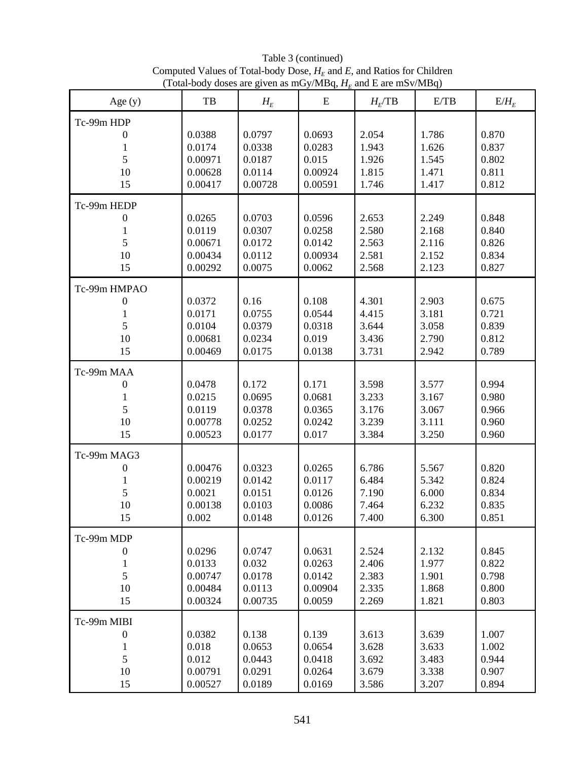| Age $(y)$                                              | TB                                                | $H_E$                                           | ${\bf E}$                                       | $H_F$ TB                                  | E/TB                                      | $E/H_E$                                   |
|--------------------------------------------------------|---------------------------------------------------|-------------------------------------------------|-------------------------------------------------|-------------------------------------------|-------------------------------------------|-------------------------------------------|
| Tc-99m HDP<br>0<br>1<br>5<br>10<br>15                  | 0.0388<br>0.0174<br>0.00971<br>0.00628<br>0.00417 | 0.0797<br>0.0338<br>0.0187<br>0.0114<br>0.00728 | 0.0693<br>0.0283<br>0.015<br>0.00924<br>0.00591 | 2.054<br>1.943<br>1.926<br>1.815<br>1.746 | 1.786<br>1.626<br>1.545<br>1.471<br>1.417 | 0.870<br>0.837<br>0.802<br>0.811<br>0.812 |
| Tc-99m HEDP<br>0<br>1<br>5<br>10<br>15                 | 0.0265<br>0.0119<br>0.00671<br>0.00434<br>0.00292 | 0.0703<br>0.0307<br>0.0172<br>0.0112<br>0.0075  | 0.0596<br>0.0258<br>0.0142<br>0.00934<br>0.0062 | 2.653<br>2.580<br>2.563<br>2.581<br>2.568 | 2.249<br>2.168<br>2.116<br>2.152<br>2.123 | 0.848<br>0.840<br>0.826<br>0.834<br>0.827 |
| Tc-99m HMPAO<br>$\boldsymbol{0}$<br>1<br>5<br>10<br>15 | 0.0372<br>0.0171<br>0.0104<br>0.00681<br>0.00469  | 0.16<br>0.0755<br>0.0379<br>0.0234<br>0.0175    | 0.108<br>0.0544<br>0.0318<br>0.019<br>0.0138    | 4.301<br>4.415<br>3.644<br>3.436<br>3.731 | 2.903<br>3.181<br>3.058<br>2.790<br>2.942 | 0.675<br>0.721<br>0.839<br>0.812<br>0.789 |
| Tc-99m MAA<br>0<br>1<br>5<br>10<br>15                  | 0.0478<br>0.0215<br>0.0119<br>0.00778<br>0.00523  | 0.172<br>0.0695<br>0.0378<br>0.0252<br>0.0177   | 0.171<br>0.0681<br>0.0365<br>0.0242<br>0.017    | 3.598<br>3.233<br>3.176<br>3.239<br>3.384 | 3.577<br>3.167<br>3.067<br>3.111<br>3.250 | 0.994<br>0.980<br>0.966<br>0.960<br>0.960 |
| Tc-99m MAG3<br>0<br>1<br>5<br>10<br>15                 | 0.00476<br>0.00219<br>0.0021<br>0.00138<br>0.002  | 0.0323<br>0.0142<br>0.0151<br>0.0103<br>0.0148  | 0.0265<br>0.0117<br>0.0126<br>0.0086<br>0.0126  | 6.786<br>6.484<br>7.190<br>7.464<br>7.400 | 5.567<br>5.342<br>6.000<br>6.232<br>6.300 | 0.820<br>0.824<br>0.834<br>0.835<br>0.851 |
| Tc-99m MDP<br>$\theta$<br>1<br>5<br>10<br>15           | 0.0296<br>0.0133<br>0.00747<br>0.00484<br>0.00324 | 0.0747<br>0.032<br>0.0178<br>0.0113<br>0.00735  | 0.0631<br>0.0263<br>0.0142<br>0.00904<br>0.0059 | 2.524<br>2.406<br>2.383<br>2.335<br>2.269 | 2.132<br>1.977<br>1.901<br>1.868<br>1.821 | 0.845<br>0.822<br>0.798<br>0.800<br>0.803 |
| Tc-99m MIBI<br>$\boldsymbol{0}$<br>1<br>5<br>10<br>15  | 0.0382<br>0.018<br>0.012<br>0.00791<br>0.00527    | 0.138<br>0.0653<br>0.0443<br>0.0291<br>0.0189   | 0.139<br>0.0654<br>0.0418<br>0.0264<br>0.0169   | 3.613<br>3.628<br>3.692<br>3.679<br>3.586 | 3.639<br>3.633<br>3.483<br>3.338<br>3.207 | 1.007<br>1.002<br>0.944<br>0.907<br>0.894 |

Table 3 (continued) Computed Values of Total-body Dose,  $H_E$  and *E*, and Ratios for Children (Total-body doses are given as mGy/MBq,  $H_E$  and E are mSv/MBq)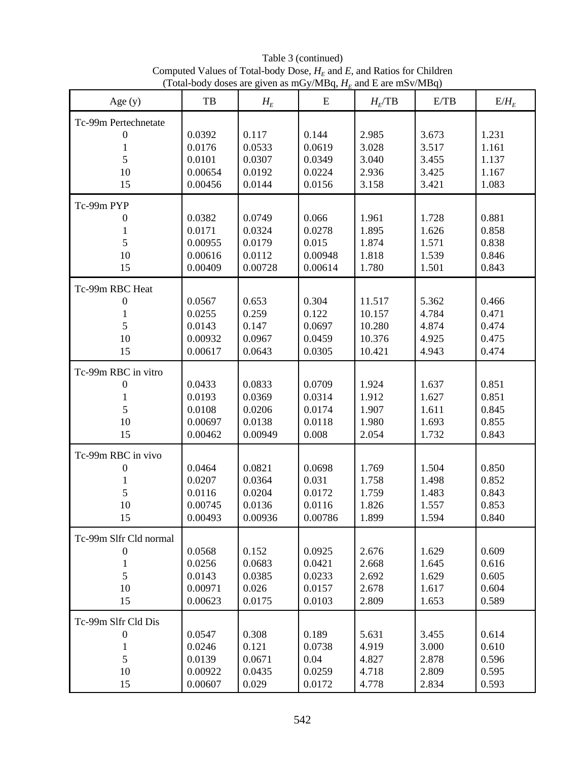| Age $(y)$                                                     | TB                                                | $H_E$                                           | E                                              | $H_F$ TB                                       | E/TB                                      | $E/H_E$                                   |
|---------------------------------------------------------------|---------------------------------------------------|-------------------------------------------------|------------------------------------------------|------------------------------------------------|-------------------------------------------|-------------------------------------------|
| Tc-99m Pertechnetate<br>0<br>1<br>5<br>10<br>15               | 0.0392<br>0.0176<br>0.0101<br>0.00654<br>0.00456  | 0.117<br>0.0533<br>0.0307<br>0.0192<br>0.0144   | 0.144<br>0.0619<br>0.0349<br>0.0224<br>0.0156  | 2.985<br>3.028<br>3.040<br>2.936<br>3.158      | 3.673<br>3.517<br>3.455<br>3.425<br>3.421 | 1.231<br>1.161<br>1.137<br>1.167<br>1.083 |
| Tc-99m PYP<br>0<br>1<br>5<br>10<br>15                         | 0.0382<br>0.0171<br>0.00955<br>0.00616<br>0.00409 | 0.0749<br>0.0324<br>0.0179<br>0.0112<br>0.00728 | 0.066<br>0.0278<br>0.015<br>0.00948<br>0.00614 | 1.961<br>1.895<br>1.874<br>1.818<br>1.780      | 1.728<br>1.626<br>1.571<br>1.539<br>1.501 | 0.881<br>0.858<br>0.838<br>0.846<br>0.843 |
| Tc-99m RBC Heat<br>0<br>1<br>5<br>10<br>15                    | 0.0567<br>0.0255<br>0.0143<br>0.00932<br>0.00617  | 0.653<br>0.259<br>0.147<br>0.0967<br>0.0643     | 0.304<br>0.122<br>0.0697<br>0.0459<br>0.0305   | 11.517<br>10.157<br>10.280<br>10.376<br>10.421 | 5.362<br>4.784<br>4.874<br>4.925<br>4.943 | 0.466<br>0.471<br>0.474<br>0.475<br>0.474 |
| Tc-99m RBC in vitro<br>0<br>1<br>5<br>10<br>15                | 0.0433<br>0.0193<br>0.0108<br>0.00697<br>0.00462  | 0.0833<br>0.0369<br>0.0206<br>0.0138<br>0.00949 | 0.0709<br>0.0314<br>0.0174<br>0.0118<br>0.008  | 1.924<br>1.912<br>1.907<br>1.980<br>2.054      | 1.637<br>1.627<br>1.611<br>1.693<br>1.732 | 0.851<br>0.851<br>0.845<br>0.855<br>0.843 |
| Tc-99m RBC in vivo<br>0<br>1<br>5<br>10<br>15                 | 0.0464<br>0.0207<br>0.0116<br>0.00745<br>0.00493  | 0.0821<br>0.0364<br>0.0204<br>0.0136<br>0.00936 | 0.0698<br>0.031<br>0.0172<br>0.0116<br>0.00786 | 1.769<br>1.758<br>1.759<br>1.826<br>1.899      | 1.504<br>1.498<br>1.483<br>1.557<br>1.594 | 0.850<br>0.852<br>0.843<br>0.853<br>0.840 |
| Tc-99m Slfr Cld normal<br>$\theta$<br>5<br>10<br>15           | 0.0568<br>0.0256<br>0.0143<br>0.00971<br>0.00623  | 0.152<br>0.0683<br>0.0385<br>0.026<br>0.0175    | 0.0925<br>0.0421<br>0.0233<br>0.0157<br>0.0103 | 2.676<br>2.668<br>2.692<br>2.678<br>2.809      | 1.629<br>1.645<br>1.629<br>1.617<br>1.653 | 0.609<br>0.616<br>0.605<br>0.604<br>0.589 |
| Tc-99m Slfr Cld Dis<br>$\boldsymbol{0}$<br>1<br>5<br>10<br>15 | 0.0547<br>0.0246<br>0.0139<br>0.00922<br>0.00607  | 0.308<br>0.121<br>0.0671<br>0.0435<br>0.029     | 0.189<br>0.0738<br>0.04<br>0.0259<br>0.0172    | 5.631<br>4.919<br>4.827<br>4.718<br>4.778      | 3.455<br>3.000<br>2.878<br>2.809<br>2.834 | 0.614<br>0.610<br>0.596<br>0.595<br>0.593 |

Table 3 (continued) Computed Values of Total-body Dose,  $H_E$  and *E*, and Ratios for Children (Total-body doses are given as mGy/MBq,  $H_E$  and E are mSv/MBq)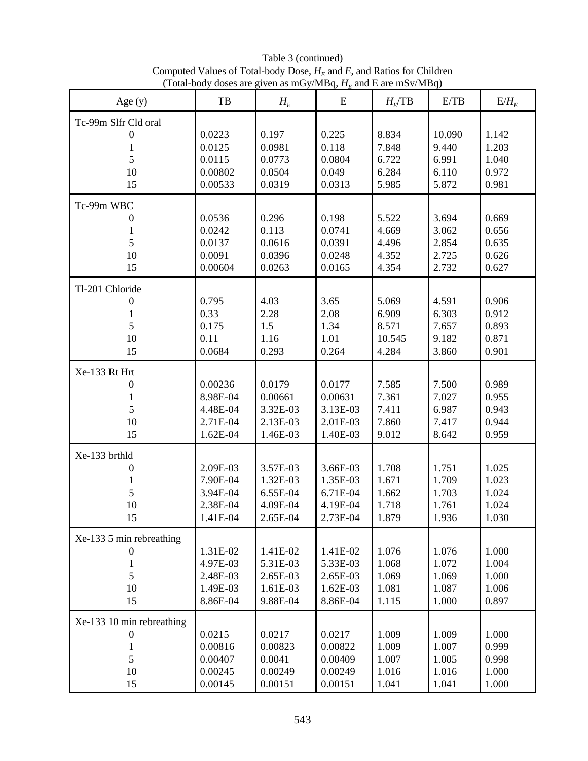| Age $(y)$                                                           | TB                                                       | $H_E$                                                    | ${\bf E}$                                                | $H_F$ TB                                   | E/TB                                       | $E/H_F$                                   |
|---------------------------------------------------------------------|----------------------------------------------------------|----------------------------------------------------------|----------------------------------------------------------|--------------------------------------------|--------------------------------------------|-------------------------------------------|
| Tc-99m Slfr Cld oral<br>$\boldsymbol{0}$<br>1<br>5<br>10<br>15      | 0.0223<br>0.0125<br>0.0115<br>0.00802<br>0.00533         | 0.197<br>0.0981<br>0.0773<br>0.0504<br>0.0319            | 0.225<br>0.118<br>0.0804<br>0.049<br>0.0313              | 8.834<br>7.848<br>6.722<br>6.284<br>5.985  | 10.090<br>9.440<br>6.991<br>6.110<br>5.872 | 1.142<br>1.203<br>1.040<br>0.972<br>0.981 |
| Tc-99m WBC<br>0<br>$\mathbf{1}$<br>5<br>10<br>15                    | 0.0536<br>0.0242<br>0.0137<br>0.0091<br>0.00604          | 0.296<br>0.113<br>0.0616<br>0.0396<br>0.0263             | 0.198<br>0.0741<br>0.0391<br>0.0248<br>0.0165            | 5.522<br>4.669<br>4.496<br>4.352<br>4.354  | 3.694<br>3.062<br>2.854<br>2.725<br>2.732  | 0.669<br>0.656<br>0.635<br>0.626<br>0.627 |
| Tl-201 Chloride<br>$\boldsymbol{0}$<br>1<br>5<br>10<br>15           | 0.795<br>0.33<br>0.175<br>0.11<br>0.0684                 | 4.03<br>2.28<br>1.5<br>1.16<br>0.293                     | 3.65<br>2.08<br>1.34<br>1.01<br>0.264                    | 5.069<br>6.909<br>8.571<br>10.545<br>4.284 | 4.591<br>6.303<br>7.657<br>9.182<br>3.860  | 0.906<br>0.912<br>0.893<br>0.871<br>0.901 |
| Xe-133 Rt Hrt<br>$\boldsymbol{0}$<br>1<br>5<br>10<br>15             | 0.00236<br>8.98E-04<br>4.48E-04<br>2.71E-04<br>1.62E-04  | 0.0179<br>0.00661<br>3.32E-03<br>2.13E-03<br>1.46E-03    | 0.0177<br>0.00631<br>3.13E-03<br>2.01E-03<br>1.40E-03    | 7.585<br>7.361<br>7.411<br>7.860<br>9.012  | 7.500<br>7.027<br>6.987<br>7.417<br>8.642  | 0.989<br>0.955<br>0.943<br>0.944<br>0.959 |
| Xe-133 brthld<br>$\boldsymbol{0}$<br>$\mathbf{1}$<br>5<br>10<br>15  | 2.09E-03<br>7.90E-04<br>3.94E-04<br>2.38E-04<br>1.41E-04 | 3.57E-03<br>1.32E-03<br>6.55E-04<br>4.09E-04<br>2.65E-04 | 3.66E-03<br>1.35E-03<br>6.71E-04<br>4.19E-04<br>2.73E-04 | 1.708<br>1.671<br>1.662<br>1.718<br>1.879  | 1.751<br>1.709<br>1.703<br>1.761<br>1.936  | 1.025<br>1.023<br>1.024<br>1.024<br>1.030 |
| Xe-133 5 min rebreathing<br>$\theta$<br>1<br>5<br>10<br>15          | 1.31E-02<br>4.97E-03<br>2.48E-03<br>1.49E-03<br>8.86E-04 | 1.41E-02<br>5.31E-03<br>2.65E-03<br>1.61E-03<br>9.88E-04 | 1.41E-02<br>5.33E-03<br>2.65E-03<br>1.62E-03<br>8.86E-04 | 1.076<br>1.068<br>1.069<br>1.081<br>1.115  | 1.076<br>1.072<br>1.069<br>1.087<br>1.000  | 1.000<br>1.004<br>1.000<br>1.006<br>0.897 |
| Xe-133 10 min rebreathing<br>$\boldsymbol{0}$<br>1<br>5<br>10<br>15 | 0.0215<br>0.00816<br>0.00407<br>0.00245<br>0.00145       | 0.0217<br>0.00823<br>0.0041<br>0.00249<br>0.00151        | 0.0217<br>0.00822<br>0.00409<br>0.00249<br>0.00151       | 1.009<br>1.009<br>1.007<br>1.016<br>1.041  | 1.009<br>1.007<br>1.005<br>1.016<br>1.041  | 1.000<br>0.999<br>0.998<br>1.000<br>1.000 |

Table 3 (continued) Computed Values of Total-body Dose,  $H_E$  and *E*, and Ratios for Children (Total-body doses are given as mGy/MBq,  $H_E$  and E are mSv/MBq)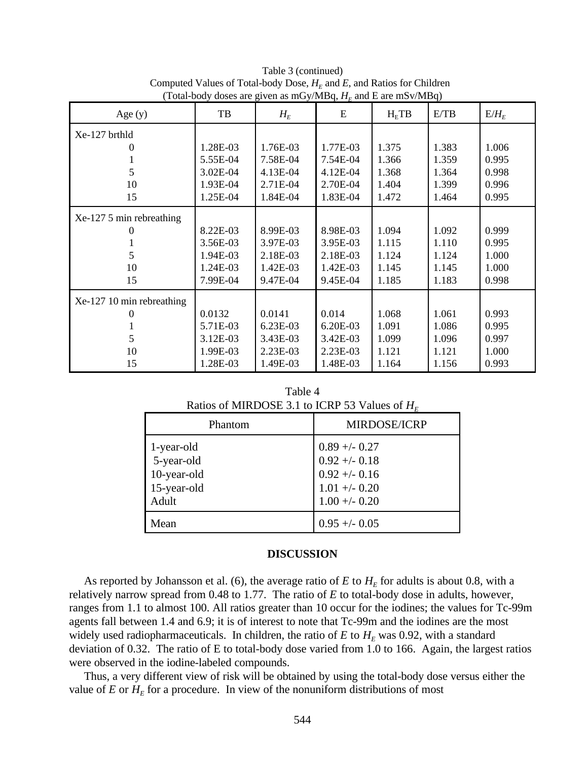| Age $(y)$                 | TB       | $\cdots$ as $\cdots$ , $\cdots$ , $\cdots$<br>$H_E$ | E        | $H_{\rm E}TB$ | E/TB  | $E/H_E$ |
|---------------------------|----------|-----------------------------------------------------|----------|---------------|-------|---------|
| Xe-127 brthld             |          |                                                     |          |               |       |         |
| 0                         | 1.28E-03 | 1.76E-03                                            | 1.77E-03 | 1.375         | 1.383 | 1.006   |
|                           | 5.55E-04 | 7.58E-04                                            | 7.54E-04 | 1.366         | 1.359 | 0.995   |
| 5                         | 3.02E-04 | 4.13E-04                                            | 4.12E-04 | 1.368         | 1.364 | 0.998   |
| 10                        | 1.93E-04 | 2.71E-04                                            | 2.70E-04 | 1.404         | 1.399 | 0.996   |
| 15                        | 1.25E-04 | 1.84E-04                                            | 1.83E-04 | 1.472         | 1.464 | 0.995   |
| $Xe-1275$ min rebreathing |          |                                                     |          |               |       |         |
|                           | 8.22E-03 | 8.99E-03                                            | 8.98E-03 | 1.094         | 1.092 | 0.999   |
|                           | 3.56E-03 | 3.97E-03                                            | 3.95E-03 | 1.115         | 1.110 | 0.995   |
| 5                         | 1.94E-03 | 2.18E-03                                            | 2.18E-03 | 1.124         | 1.124 | 1.000   |
| 10                        | 1.24E-03 | 1.42E-03                                            | 1.42E-03 | 1.145         | 1.145 | 1.000   |
| 15                        | 7.99E-04 | 9.47E-04                                            | 9.45E-04 | 1.185         | 1.183 | 0.998   |
| Xe-127 10 min rebreathing |          |                                                     |          |               |       |         |
| 0                         | 0.0132   | 0.0141                                              | 0.014    | 1.068         | 1.061 | 0.993   |
|                           | 5.71E-03 | 6.23E-03                                            | 6.20E-03 | 1.091         | 1.086 | 0.995   |
| 5                         | 3.12E-03 | 3.43E-03                                            | 3.42E-03 | 1.099         | 1.096 | 0.997   |
| 10                        | 1.99E-03 | 2.23E-03                                            | 2.23E-03 | 1.121         | 1.121 | 1.000   |
| 15                        | 1.28E-03 | 1.49E-03                                            | 1.48E-03 | 1.164         | 1.156 | 0.993   |

Table 3 (continued) Computed Values of Total-body Dose,  $H_E$  and *E*, and Ratios for Children (Total-body doses are given as mGy/MBq,  $H<sub>F</sub>$  and E are mSv/MBq)

Table 4 Ratios of MIRDOSE 3.1 to ICRP 53 Values of *HE* 

| Phantom                                                         | <b>MIRDOSE/ICRP</b>                                                                     |
|-----------------------------------------------------------------|-----------------------------------------------------------------------------------------|
| 1-year-old<br>5-year-old<br>10-year-old<br>15-year-old<br>Adult | $0.89 + -0.27$<br>$0.92 + -0.18$<br>$0.92 + -0.16$<br>$1.01 + -0.20$<br>$1.00 + - 0.20$ |
| Mean                                                            | $0.95 + -0.05$                                                                          |

## **DISCUSSION**

As reported by Johansson et al. (6), the average ratio of  $E$  to  $H_E$  for adults is about 0.8, with a relatively narrow spread from 0.48 to 1.77. The ratio of *E* to total-body dose in adults, however, ranges from 1.1 to almost 100. All ratios greater than 10 occur for the iodines; the values for Tc-99m agents fall between 1.4 and 6.9; it is of interest to note that Tc-99m and the iodines are the most widely used radiopharmaceuticals. In children, the ratio of  $E$  to  $H_E$  was 0.92, with a standard deviation of 0.32. The ratio of E to total-body dose varied from 1.0 to 166. Again, the largest ratios were observed in the iodine-labeled compounds.

Thus, a very different view of risk will be obtained by using the total-body dose versus either the value of  $E$  or  $H_E$  for a procedure. In view of the nonuniform distributions of most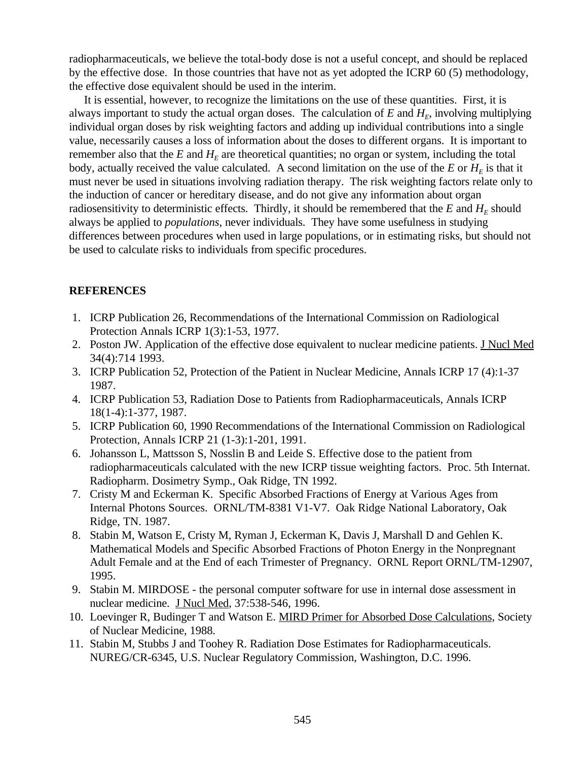radiopharmaceuticals, we believe the total-body dose is not a useful concept, and should be replaced by the effective dose. In those countries that have not as yet adopted the ICRP 60 (5) methodology, the effective dose equivalent should be used in the interim.

It is essential, however, to recognize the limitations on the use of these quantities. First, it is always important to study the actual organ doses. The calculation of  $E$  and  $H<sub>E</sub>$ , involving multiplying individual organ doses by risk weighting factors and adding up individual contributions into a single value, necessarily causes a loss of information about the doses to different organs. It is important to remember also that the  $E$  and  $H_F$  are theoretical quantities; no organ or system, including the total body, actually received the value calculated. A second limitation on the use of the  $E$  or  $H_E$  is that it must never be used in situations involving radiation therapy. The risk weighting factors relate only to the induction of cancer or hereditary disease, and do not give any information about organ radiosensitivity to deterministic effects. Thirdly, it should be remembered that the  $E$  and  $H<sub>E</sub>$  should always be applied to *populations*, never individuals. They have some usefulness in studying differences between procedures when used in large populations, or in estimating risks, but should not be used to calculate risks to individuals from specific procedures.

# **REFERENCES**

- 1. ICRP Publication 26, Recommendations of the International Commission on Radiological Protection Annals ICRP 1(3):1-53, 1977.
- 2. Poston JW. Application of the effective dose equivalent to nuclear medicine patients. J Nucl Med 34(4):714 1993.
- 3. ICRP Publication 52, Protection of the Patient in Nuclear Medicine, Annals ICRP 17 (4):1-37 1987.
- 4. ICRP Publication 53, Radiation Dose to Patients from Radiopharmaceuticals, Annals ICRP 18(1-4):1-377, 1987.
- 5. ICRP Publication 60, 1990 Recommendations of the International Commission on Radiological Protection, Annals ICRP 21 (1-3):1-201, 1991.
- 6. Johansson L, Mattsson S, Nosslin B and Leide S. Effective dose to the patient from radiopharmaceuticals calculated with the new ICRP tissue weighting factors. Proc. 5th Internat. Radiopharm. Dosimetry Symp., Oak Ridge, TN 1992.
- 7. Cristy M and Eckerman K. Specific Absorbed Fractions of Energy at Various Ages from Internal Photons Sources. ORNL/TM-8381 V1-V7. Oak Ridge National Laboratory, Oak Ridge, TN. 1987.
- 8. Stabin M, Watson E, Cristy M, Ryman J, Eckerman K, Davis J, Marshall D and Gehlen K. Mathematical Models and Specific Absorbed Fractions of Photon Energy in the Nonpregnant Adult Female and at the End of each Trimester of Pregnancy. ORNL Report ORNL/TM-12907, 1995.
- 9. Stabin M. MIRDOSE the personal computer software for use in internal dose assessment in nuclear medicine. J Nucl Med, 37:538-546, 1996.
- 10. Loevinger R, Budinger T and Watson E. MIRD Primer for Absorbed Dose Calculations, Society of Nuclear Medicine, 1988.
- 11. Stabin M, Stubbs J and Toohey R. Radiation Dose Estimates for Radiopharmaceuticals. NUREG/CR-6345, U.S. Nuclear Regulatory Commission, Washington, D.C. 1996.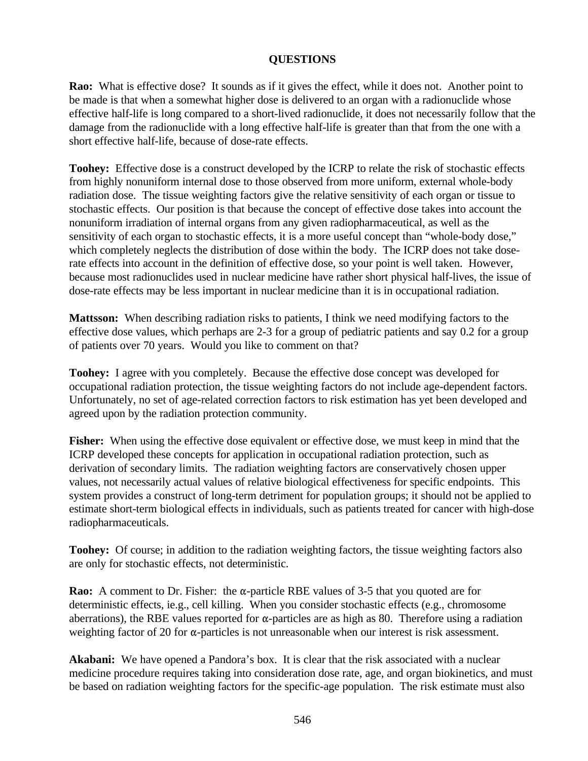# **QUESTIONS**

**Rao:** What is effective dose? It sounds as if it gives the effect, while it does not. Another point to be made is that when a somewhat higher dose is delivered to an organ with a radionuclide whose effective half-life is long compared to a short-lived radionuclide, it does not necessarily follow that the damage from the radionuclide with a long effective half-life is greater than that from the one with a short effective half-life, because of dose-rate effects.

**Toohey:** Effective dose is a construct developed by the ICRP to relate the risk of stochastic effects from highly nonuniform internal dose to those observed from more uniform, external whole-body radiation dose. The tissue weighting factors give the relative sensitivity of each organ or tissue to stochastic effects. Our position is that because the concept of effective dose takes into account the nonuniform irradiation of internal organs from any given radiopharmaceutical, as well as the sensitivity of each organ to stochastic effects, it is a more useful concept than "whole-body dose," which completely neglects the distribution of dose within the body. The ICRP does not take doserate effects into account in the definition of effective dose, so your point is well taken. However, because most radionuclides used in nuclear medicine have rather short physical half-lives, the issue of dose-rate effects may be less important in nuclear medicine than it is in occupational radiation.

**Mattsson:** When describing radiation risks to patients, I think we need modifying factors to the effective dose values, which perhaps are 2-3 for a group of pediatric patients and say 0.2 for a group of patients over 70 years. Would you like to comment on that?

**Toohey:** I agree with you completely. Because the effective dose concept was developed for occupational radiation protection, the tissue weighting factors do not include age-dependent factors. Unfortunately, no set of age-related correction factors to risk estimation has yet been developed and agreed upon by the radiation protection community.

**Fisher:** When using the effective dose equivalent or effective dose, we must keep in mind that the ICRP developed these concepts for application in occupational radiation protection, such as derivation of secondary limits. The radiation weighting factors are conservatively chosen upper values, not necessarily actual values of relative biological effectiveness for specific endpoints. This system provides a construct of long-term detriment for population groups; it should not be applied to estimate short-term biological effects in individuals, such as patients treated for cancer with high-dose radiopharmaceuticals.

**Toohey:** Of course; in addition to the radiation weighting factors, the tissue weighting factors also are only for stochastic effects, not deterministic.

**Rao:** A comment to Dr. Fisher: the  $\alpha$ -particle RBE values of 3-5 that you quoted are for deterministic effects, ie.g., cell killing. When you consider stochastic effects (e.g., chromosome aberrations), the RBE values reported for  $\alpha$ -particles are as high as 80. Therefore using a radiation weighting factor of 20 for  $\alpha$ -particles is not unreasonable when our interest is risk assessment.

**Akabani:** We have opened a Pandora's box. It is clear that the risk associated with a nuclear medicine procedure requires taking into consideration dose rate, age, and organ biokinetics, and must be based on radiation weighting factors for the specific-age population. The risk estimate must also